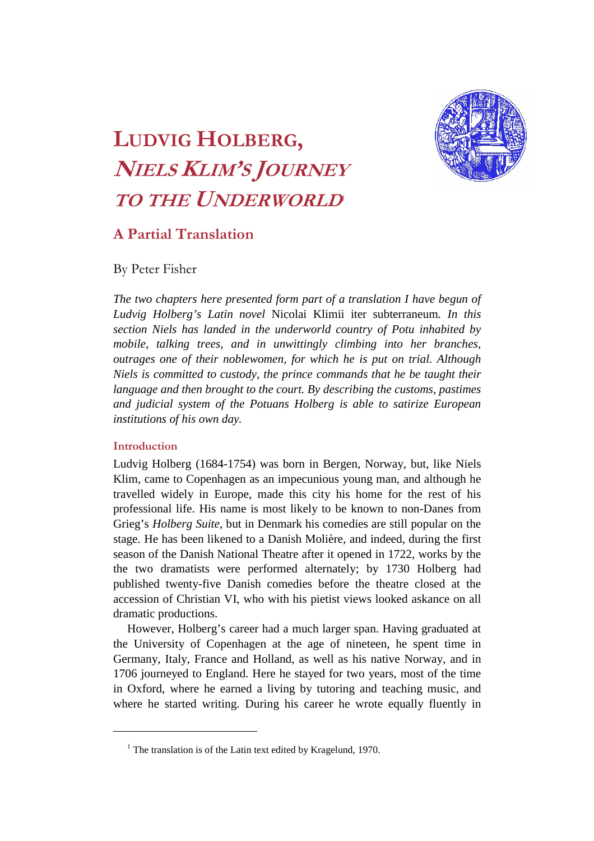

# **LUDVIG HOLBERG, NIELS KLIM'S JOURNEY TO THE UNDERWORLD**

## **A Partial Translation**

By Peter Fisher

*The two chapters here presented form part of a translation I have begun of Ludvig Holberg's Latin novel* Nicolai Klimii iter subterraneum*. In this section Niels has landed in the underworld country of Potu inhabited by mobile, talking trees, and in unwittingly climbing into her branches, outrages one of their noblewomen, for which he is put on trial. Although Niels is committed to custody, the prince commands that he be taught their language and then brought to the court. By describing the customs, pastimes and judicial system of the Potuans Holberg is able to satirize European institutions of his own day.* 

#### **Introduction**

 $\overline{a}$ 

Ludvig Holberg (1684-1754) was born in Bergen, Norway, but, like Niels Klim, came to Copenhagen as an impecunious young man, and although he travelled widely in Europe, made this city his home for the rest of his professional life. His name is most likely to be known to non-Danes from Grieg's *Holberg Suite*, but in Denmark his comedies are still popular on the stage. He has been likened to a Danish Molière, and indeed, during the first season of the Danish National Theatre after it opened in 1722, works by the the two dramatists were performed alternately; by 1730 Holberg had published twenty-five Danish comedies before the theatre closed at the accession of Christian VI, who with his pietist views looked askance on all dramatic productions.

However, Holberg's career had a much larger span. Having graduated at the University of Copenhagen at the age of nineteen, he spent time in Germany, Italy, France and Holland, as well as his native Norway, and in 1706 journeyed to England. Here he stayed for two years, most of the time in Oxford, where he earned a living by tutoring and teaching music, and where he started writing. During his career he wrote equally fluently in

<sup>&</sup>lt;sup>1</sup> The translation is of the Latin text edited by Kragelund, 1970.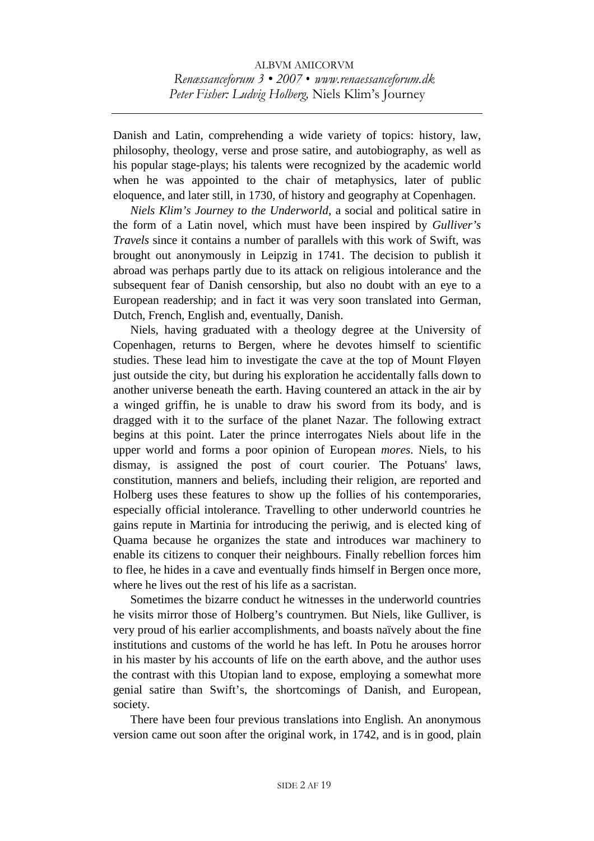Danish and Latin, comprehending a wide variety of topics: history, law, philosophy, theology, verse and prose satire, and autobiography, as well as his popular stage-plays; his talents were recognized by the academic world when he was appointed to the chair of metaphysics, later of public eloquence, and later still, in 1730, of history and geography at Copenhagen.

 *Niels Klim's Journey to the Underworld*, a social and political satire in the form of a Latin novel, which must have been inspired by *Gulliver's Travels* since it contains a number of parallels with this work of Swift, was brought out anonymously in Leipzig in 1741. The decision to publish it abroad was perhaps partly due to its attack on religious intolerance and the subsequent fear of Danish censorship, but also no doubt with an eye to a European readership; and in fact it was very soon translated into German, Dutch, French, English and, eventually, Danish.

 Niels, having graduated with a theology degree at the University of Copenhagen, returns to Bergen, where he devotes himself to scientific studies. These lead him to investigate the cave at the top of Mount Fløyen just outside the city, but during his exploration he accidentally falls down to another universe beneath the earth. Having countered an attack in the air by a winged griffin, he is unable to draw his sword from its body, and is dragged with it to the surface of the planet Nazar. The following extract begins at this point. Later the prince interrogates Niels about life in the upper world and forms a poor opinion of European *mores*. Niels, to his dismay, is assigned the post of court courier. The Potuans' laws, constitution, manners and beliefs, including their religion, are reported and Holberg uses these features to show up the follies of his contemporaries, especially official intolerance. Travelling to other underworld countries he gains repute in Martinia for introducing the periwig, and is elected king of Quama because he organizes the state and introduces war machinery to enable its citizens to conquer their neighbours. Finally rebellion forces him to flee, he hides in a cave and eventually finds himself in Bergen once more, where he lives out the rest of his life as a sacristan.

 Sometimes the bizarre conduct he witnesses in the underworld countries he visits mirror those of Holberg's countrymen. But Niels, like Gulliver, is very proud of his earlier accomplishments, and boasts naïvely about the fine institutions and customs of the world he has left. In Potu he arouses horror in his master by his accounts of life on the earth above, and the author uses the contrast with this Utopian land to expose, employing a somewhat more genial satire than Swift's, the shortcomings of Danish, and European, society.

 There have been four previous translations into English. An anonymous version came out soon after the original work, in 1742, and is in good, plain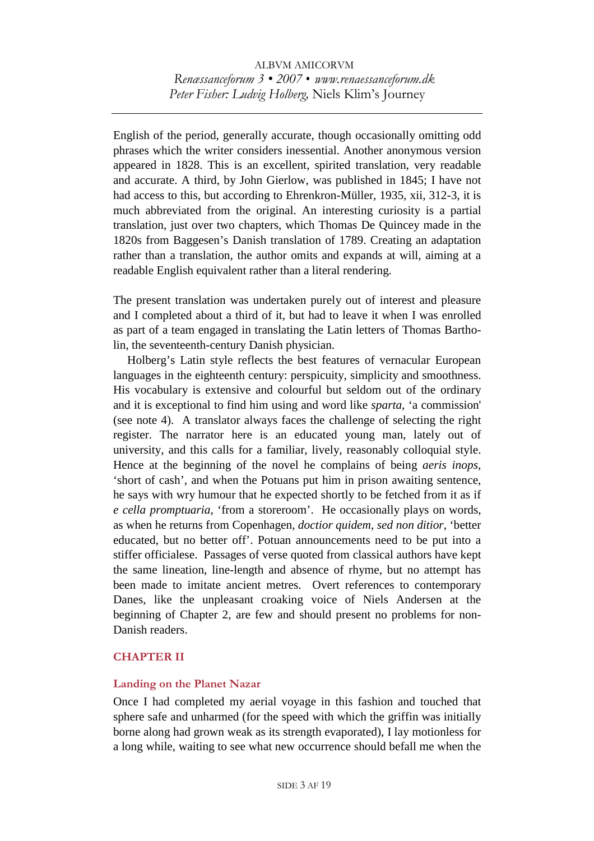English of the period, generally accurate, though occasionally omitting odd phrases which the writer considers inessential. Another anonymous version appeared in 1828. This is an excellent, spirited translation, very readable and accurate. A third, by John Gierlow, was published in 1845; I have not had access to this, but according to Ehrenkron-Müller, 1935, xii, 312-3, it is much abbreviated from the original. An interesting curiosity is a partial translation, just over two chapters, which Thomas De Quincey made in the 1820s from Baggesen's Danish translation of 1789. Creating an adaptation rather than a translation, the author omits and expands at will, aiming at a readable English equivalent rather than a literal rendering.

The present translation was undertaken purely out of interest and pleasure and I completed about a third of it, but had to leave it when I was enrolled as part of a team engaged in translating the Latin letters of Thomas Bartholin, the seventeenth-century Danish physician.

Holberg's Latin style reflects the best features of vernacular European languages in the eighteenth century: perspicuity, simplicity and smoothness. His vocabulary is extensive and colourful but seldom out of the ordinary and it is exceptional to find him using and word like *sparta*, 'a commission' (see note 4). A translator always faces the challenge of selecting the right register. The narrator here is an educated young man, lately out of university, and this calls for a familiar, lively, reasonably colloquial style. Hence at the beginning of the novel he complains of being *aeris inops*, 'short of cash', and when the Potuans put him in prison awaiting sentence, he says with wry humour that he expected shortly to be fetched from it as if *e cella promptuaria*, 'from a storeroom'. He occasionally plays on words, as when he returns from Copenhagen, *doctior quidem, sed non ditior*, 'better educated, but no better off'. Potuan announcements need to be put into a stiffer officialese. Passages of verse quoted from classical authors have kept the same lineation, line-length and absence of rhyme, but no attempt has been made to imitate ancient metres. Overt references to contemporary Danes, like the unpleasant croaking voice of Niels Andersen at the beginning of Chapter 2, are few and should present no problems for non-Danish readers.

#### **CHAPTER II**

#### **Landing on the Planet Nazar**

Once I had completed my aerial voyage in this fashion and touched that sphere safe and unharmed (for the speed with which the griffin was initially borne along had grown weak as its strength evaporated), I lay motionless for a long while, waiting to see what new occurrence should befall me when the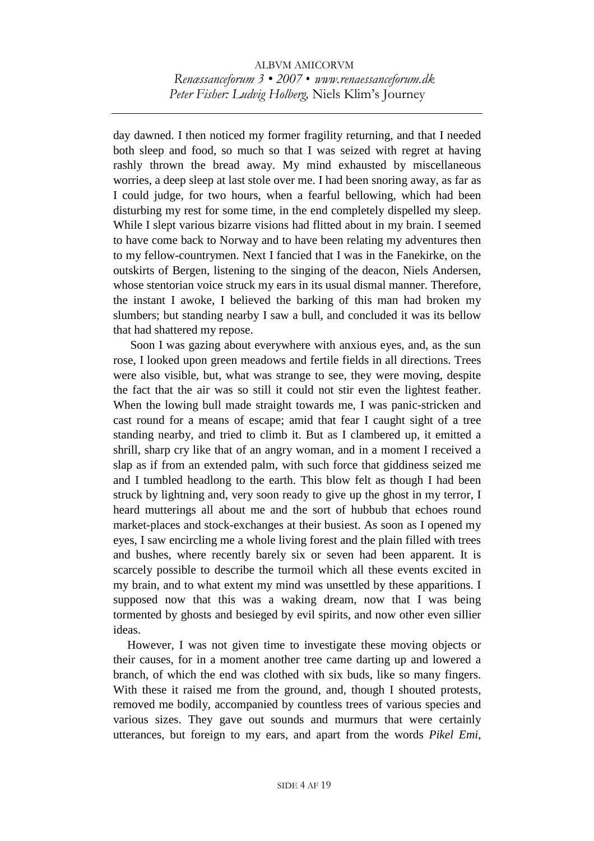day dawned. I then noticed my former fragility returning, and that I needed both sleep and food, so much so that I was seized with regret at having rashly thrown the bread away. My mind exhausted by miscellaneous worries, a deep sleep at last stole over me. I had been snoring away, as far as I could judge, for two hours, when a fearful bellowing, which had been disturbing my rest for some time, in the end completely dispelled my sleep. While I slept various bizarre visions had flitted about in my brain. I seemed to have come back to Norway and to have been relating my adventures then to my fellow-countrymen. Next I fancied that I was in the Fanekirke, on the outskirts of Bergen, listening to the singing of the deacon, Niels Andersen, whose stentorian voice struck my ears in its usual dismal manner. Therefore, the instant I awoke, I believed the barking of this man had broken my slumbers; but standing nearby I saw a bull, and concluded it was its bellow that had shattered my repose.

 Soon I was gazing about everywhere with anxious eyes, and, as the sun rose, I looked upon green meadows and fertile fields in all directions. Trees were also visible, but, what was strange to see, they were moving, despite the fact that the air was so still it could not stir even the lightest feather. When the lowing bull made straight towards me, I was panic-stricken and cast round for a means of escape; amid that fear I caught sight of a tree standing nearby, and tried to climb it. But as I clambered up, it emitted a shrill, sharp cry like that of an angry woman, and in a moment I received a slap as if from an extended palm, with such force that giddiness seized me and I tumbled headlong to the earth. This blow felt as though I had been struck by lightning and, very soon ready to give up the ghost in my terror, I heard mutterings all about me and the sort of hubbub that echoes round market-places and stock-exchanges at their busiest. As soon as I opened my eyes, I saw encircling me a whole living forest and the plain filled with trees and bushes, where recently barely six or seven had been apparent. It is scarcely possible to describe the turmoil which all these events excited in my brain, and to what extent my mind was unsettled by these apparitions. I supposed now that this was a waking dream, now that I was being tormented by ghosts and besieged by evil spirits, and now other even sillier ideas.

However, I was not given time to investigate these moving objects or their causes, for in a moment another tree came darting up and lowered a branch, of which the end was clothed with six buds, like so many fingers. With these it raised me from the ground, and, though I shouted protests, removed me bodily, accompanied by countless trees of various species and various sizes. They gave out sounds and murmurs that were certainly utterances, but foreign to my ears, and apart from the words *Pikel Emi*,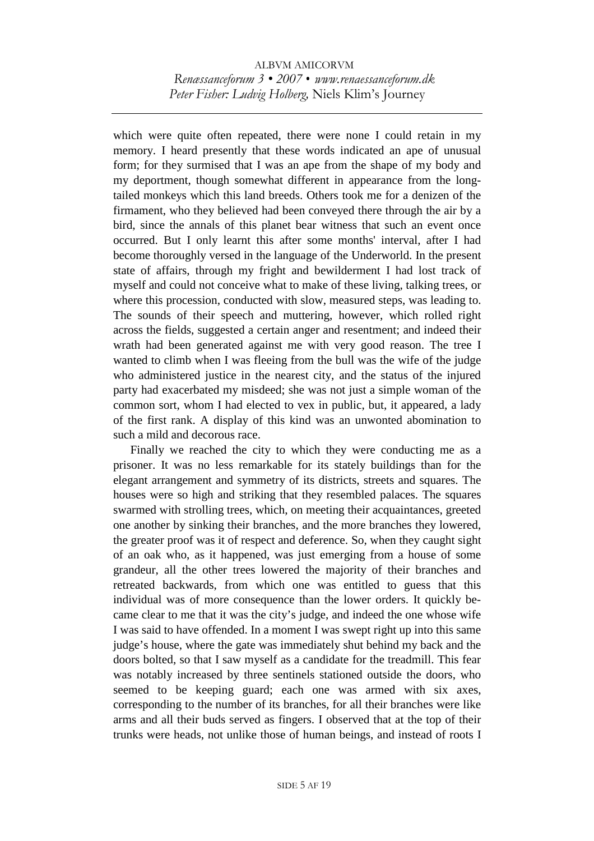which were quite often repeated, there were none I could retain in my memory. I heard presently that these words indicated an ape of unusual form; for they surmised that I was an ape from the shape of my body and my deportment, though somewhat different in appearance from the longtailed monkeys which this land breeds. Others took me for a denizen of the firmament, who they believed had been conveyed there through the air by a bird, since the annals of this planet bear witness that such an event once occurred. But I only learnt this after some months' interval, after I had become thoroughly versed in the language of the Underworld. In the present state of affairs, through my fright and bewilderment I had lost track of myself and could not conceive what to make of these living, talking trees, or where this procession, conducted with slow, measured steps, was leading to. The sounds of their speech and muttering, however, which rolled right across the fields, suggested a certain anger and resentment; and indeed their wrath had been generated against me with very good reason. The tree I wanted to climb when I was fleeing from the bull was the wife of the judge who administered justice in the nearest city, and the status of the injured party had exacerbated my misdeed; she was not just a simple woman of the common sort, whom I had elected to vex in public, but, it appeared, a lady of the first rank. A display of this kind was an unwonted abomination to such a mild and decorous race.

 Finally we reached the city to which they were conducting me as a prisoner. It was no less remarkable for its stately buildings than for the elegant arrangement and symmetry of its districts, streets and squares. The houses were so high and striking that they resembled palaces. The squares swarmed with strolling trees, which, on meeting their acquaintances, greeted one another by sinking their branches, and the more branches they lowered, the greater proof was it of respect and deference. So, when they caught sight of an oak who, as it happened, was just emerging from a house of some grandeur, all the other trees lowered the majority of their branches and retreated backwards, from which one was entitled to guess that this individual was of more consequence than the lower orders. It quickly became clear to me that it was the city's judge, and indeed the one whose wife I was said to have offended. In a moment I was swept right up into this same judge's house, where the gate was immediately shut behind my back and the doors bolted, so that I saw myself as a candidate for the treadmill. This fear was notably increased by three sentinels stationed outside the doors, who seemed to be keeping guard; each one was armed with six axes, corresponding to the number of its branches, for all their branches were like arms and all their buds served as fingers. I observed that at the top of their trunks were heads, not unlike those of human beings, and instead of roots I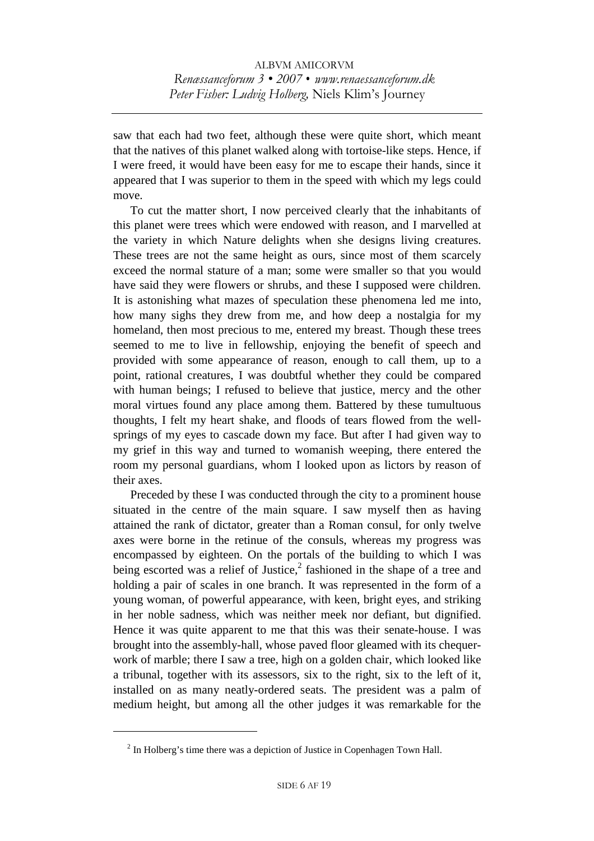saw that each had two feet, although these were quite short, which meant that the natives of this planet walked along with tortoise-like steps. Hence, if I were freed, it would have been easy for me to escape their hands, since it appeared that I was superior to them in the speed with which my legs could move.

 To cut the matter short, I now perceived clearly that the inhabitants of this planet were trees which were endowed with reason, and I marvelled at the variety in which Nature delights when she designs living creatures. These trees are not the same height as ours, since most of them scarcely exceed the normal stature of a man; some were smaller so that you would have said they were flowers or shrubs, and these I supposed were children. It is astonishing what mazes of speculation these phenomena led me into, how many sighs they drew from me, and how deep a nostalgia for my homeland, then most precious to me, entered my breast. Though these trees seemed to me to live in fellowship, enjoying the benefit of speech and provided with some appearance of reason, enough to call them, up to a point, rational creatures, I was doubtful whether they could be compared with human beings; I refused to believe that justice, mercy and the other moral virtues found any place among them. Battered by these tumultuous thoughts, I felt my heart shake, and floods of tears flowed from the wellsprings of my eyes to cascade down my face. But after I had given way to my grief in this way and turned to womanish weeping, there entered the room my personal guardians, whom I looked upon as lictors by reason of their axes.

 Preceded by these I was conducted through the city to a prominent house situated in the centre of the main square. I saw myself then as having attained the rank of dictator, greater than a Roman consul, for only twelve axes were borne in the retinue of the consuls, whereas my progress was encompassed by eighteen. On the portals of the building to which I was being escorted was a relief of Justice, $2$  fashioned in the shape of a tree and holding a pair of scales in one branch. It was represented in the form of a young woman, of powerful appearance, with keen, bright eyes, and striking in her noble sadness, which was neither meek nor defiant, but dignified. Hence it was quite apparent to me that this was their senate-house. I was brought into the assembly-hall, whose paved floor gleamed with its chequerwork of marble; there I saw a tree, high on a golden chair, which looked like a tribunal, together with its assessors, six to the right, six to the left of it, installed on as many neatly-ordered seats. The president was a palm of medium height, but among all the other judges it was remarkable for the

 $2<sup>2</sup>$  In Holberg's time there was a depiction of Justice in Copenhagen Town Hall.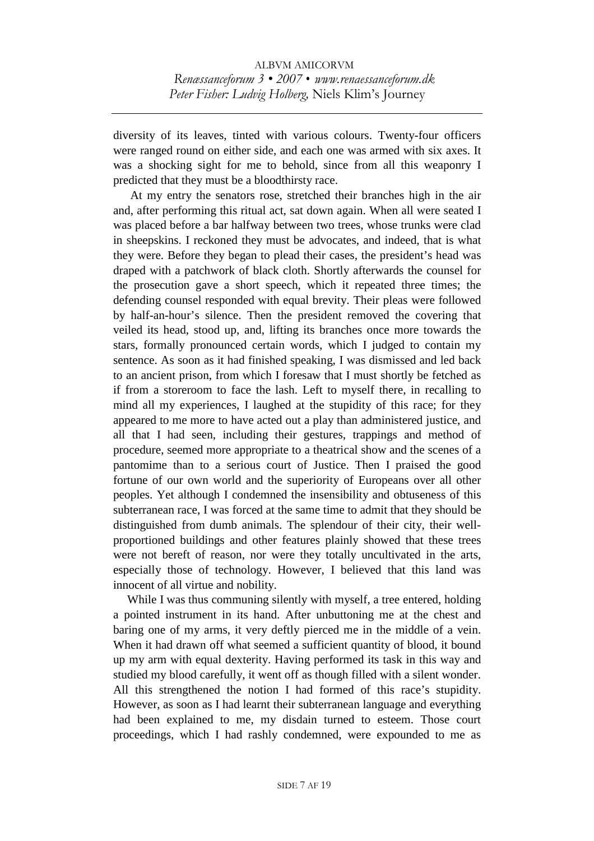diversity of its leaves, tinted with various colours. Twenty-four officers were ranged round on either side, and each one was armed with six axes. It was a shocking sight for me to behold, since from all this weaponry I predicted that they must be a bloodthirsty race.

 At my entry the senators rose, stretched their branches high in the air and, after performing this ritual act, sat down again. When all were seated I was placed before a bar halfway between two trees, whose trunks were clad in sheepskins. I reckoned they must be advocates, and indeed, that is what they were. Before they began to plead their cases, the president's head was draped with a patchwork of black cloth. Shortly afterwards the counsel for the prosecution gave a short speech, which it repeated three times; the defending counsel responded with equal brevity. Their pleas were followed by half-an-hour's silence. Then the president removed the covering that veiled its head, stood up, and, lifting its branches once more towards the stars, formally pronounced certain words, which I judged to contain my sentence. As soon as it had finished speaking, I was dismissed and led back to an ancient prison, from which I foresaw that I must shortly be fetched as if from a storeroom to face the lash. Left to myself there, in recalling to mind all my experiences, I laughed at the stupidity of this race; for they appeared to me more to have acted out a play than administered justice, and all that I had seen, including their gestures, trappings and method of procedure, seemed more appropriate to a theatrical show and the scenes of a pantomime than to a serious court of Justice. Then I praised the good fortune of our own world and the superiority of Europeans over all other peoples. Yet although I condemned the insensibility and obtuseness of this subterranean race, I was forced at the same time to admit that they should be distinguished from dumb animals. The splendour of their city, their wellproportioned buildings and other features plainly showed that these trees were not bereft of reason, nor were they totally uncultivated in the arts, especially those of technology. However, I believed that this land was innocent of all virtue and nobility.

While I was thus communing silently with myself, a tree entered, holding a pointed instrument in its hand. After unbuttoning me at the chest and baring one of my arms, it very deftly pierced me in the middle of a vein. When it had drawn off what seemed a sufficient quantity of blood, it bound up my arm with equal dexterity. Having performed its task in this way and studied my blood carefully, it went off as though filled with a silent wonder. All this strengthened the notion I had formed of this race's stupidity. However, as soon as I had learnt their subterranean language and everything had been explained to me, my disdain turned to esteem. Those court proceedings, which I had rashly condemned, were expounded to me as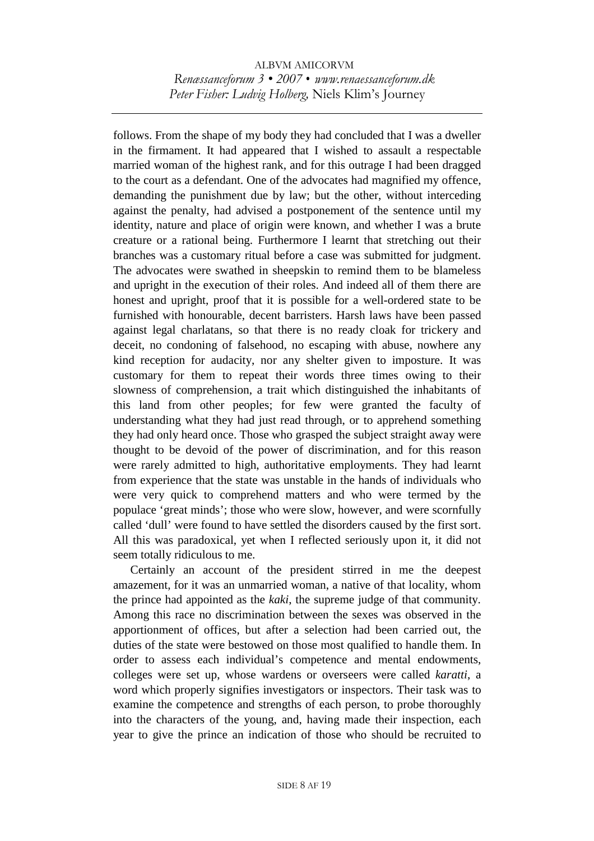follows. From the shape of my body they had concluded that I was a dweller in the firmament. It had appeared that I wished to assault a respectable married woman of the highest rank, and for this outrage I had been dragged to the court as a defendant. One of the advocates had magnified my offence, demanding the punishment due by law; but the other, without interceding against the penalty, had advised a postponement of the sentence until my identity, nature and place of origin were known, and whether I was a brute creature or a rational being. Furthermore I learnt that stretching out their branches was a customary ritual before a case was submitted for judgment. The advocates were swathed in sheepskin to remind them to be blameless and upright in the execution of their roles. And indeed all of them there are honest and upright, proof that it is possible for a well-ordered state to be furnished with honourable, decent barristers. Harsh laws have been passed against legal charlatans, so that there is no ready cloak for trickery and deceit, no condoning of falsehood, no escaping with abuse, nowhere any kind reception for audacity, nor any shelter given to imposture. It was customary for them to repeat their words three times owing to their slowness of comprehension, a trait which distinguished the inhabitants of this land from other peoples; for few were granted the faculty of understanding what they had just read through, or to apprehend something they had only heard once. Those who grasped the subject straight away were thought to be devoid of the power of discrimination, and for this reason were rarely admitted to high, authoritative employments. They had learnt from experience that the state was unstable in the hands of individuals who were very quick to comprehend matters and who were termed by the populace 'great minds'; those who were slow, however, and were scornfully called 'dull' were found to have settled the disorders caused by the first sort. All this was paradoxical, yet when I reflected seriously upon it, it did not seem totally ridiculous to me.

 Certainly an account of the president stirred in me the deepest amazement, for it was an unmarried woman, a native of that locality, whom the prince had appointed as the *kaki*, the supreme judge of that community. Among this race no discrimination between the sexes was observed in the apportionment of offices, but after a selection had been carried out, the duties of the state were bestowed on those most qualified to handle them. In order to assess each individual's competence and mental endowments, colleges were set up, whose wardens or overseers were called *karatti*, a word which properly signifies investigators or inspectors. Their task was to examine the competence and strengths of each person, to probe thoroughly into the characters of the young, and, having made their inspection, each year to give the prince an indication of those who should be recruited to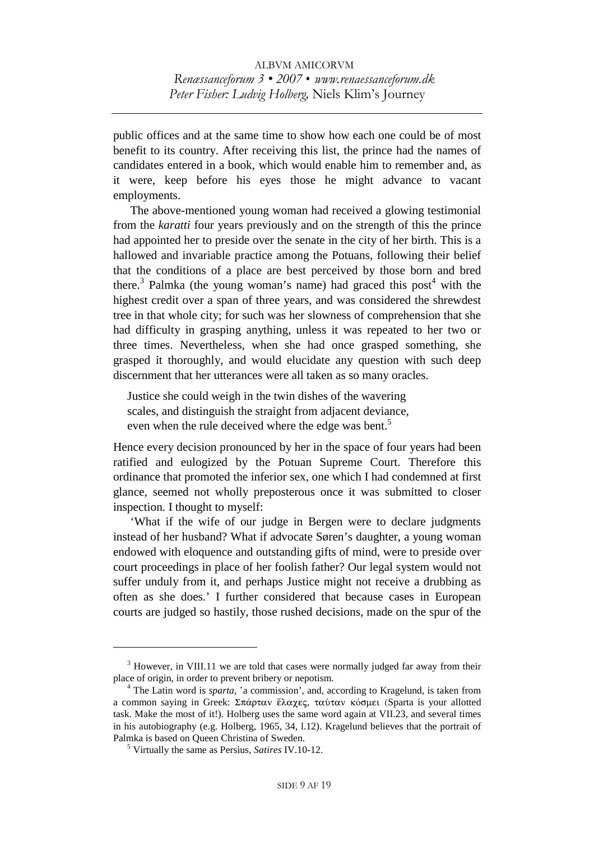public offices and at the same time to show how each one could be of most benefit to its country. After receiving this list, the prince had the names of candidates entered in a book, which would enable him to remember and, as it were, keep before his eyes those he might advance to vacant employments.

 The above-mentioned young woman had received a glowing testimonial from the *karatti* four years previously and on the strength of this the prince had appointed her to preside over the senate in the city of her birth. This is a hallowed and invariable practice among the Potuans, following their belief that the conditions of a place are best perceived by those born and bred there.<sup>3</sup> Palmka (the young woman's name) had graced this post<sup>4</sup> with the highest credit over a span of three years, and was considered the shrewdest tree in that whole city; for such was her slowness of comprehension that she had difficulty in grasping anything, unless it was repeated to her two or three times. Nevertheless, when she had once grasped something, she grasped it thoroughly, and would elucidate any question with such deep discernment that her utterances were all taken as so many oracles.

Justice she could weigh in the twin dishes of the wavering scales, and distinguish the straight from adjacent deviance, even when the rule deceived where the edge was bent.<sup>5</sup>

Hence every decision pronounced by her in the space of four years had been ratified and eulogized by the Potuan Supreme Court. Therefore this ordinance that promoted the inferior sex, one which I had condemned at first glance, seemed not wholly preposterous once it was submitted to closer inspection. I thought to myself:

 'What if the wife of our judge in Bergen were to declare judgments instead of her husband? What if advocate Søren's daughter, a young woman endowed with eloquence and outstanding gifts of mind, were to preside over court proceedings in place of her foolish father? Our legal system would not suffer unduly from it, and perhaps Justice might not receive a drubbing as often as she does.' I further considered that because cases in European courts are judged so hastily, those rushed decisions, made on the spur of the

 $3$  However, in VIII.11 we are told that cases were normally judged far away from their place of origin, in order to prevent bribery or nepotism. 4

<sup>&</sup>lt;sup>4</sup> The Latin word is *sparta*, 'a commission', and, according to Kragelund, is taken from a common saying in Greek:  $\Sigma \pi \dot{\alpha} \rho \tau \alpha v$  έλαχες, ταύταν κόσμει (Sparta is your allotted task. Make the most of it!). Holberg uses the same word again at VII.23, and several times in his autobiography (e.g. Holberg, 1965, 34, l.12). Kragelund believes that the portrait of Palmka is based on Queen Christina of Sweden.

Virtually the same as Persius, *Satires* IV.10-12.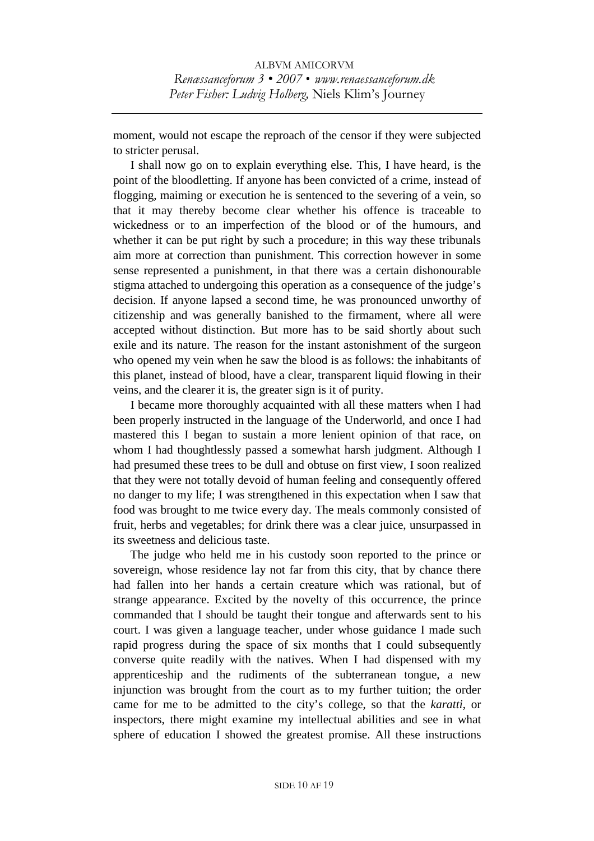moment, would not escape the reproach of the censor if they were subjected to stricter perusal.

 I shall now go on to explain everything else. This, I have heard, is the point of the bloodletting. If anyone has been convicted of a crime, instead of flogging, maiming or execution he is sentenced to the severing of a vein, so that it may thereby become clear whether his offence is traceable to wickedness or to an imperfection of the blood or of the humours, and whether it can be put right by such a procedure; in this way these tribunals aim more at correction than punishment. This correction however in some sense represented a punishment, in that there was a certain dishonourable stigma attached to undergoing this operation as a consequence of the judge's decision. If anyone lapsed a second time, he was pronounced unworthy of citizenship and was generally banished to the firmament, where all were accepted without distinction. But more has to be said shortly about such exile and its nature. The reason for the instant astonishment of the surgeon who opened my vein when he saw the blood is as follows: the inhabitants of this planet, instead of blood, have a clear, transparent liquid flowing in their veins, and the clearer it is, the greater sign is it of purity.

 I became more thoroughly acquainted with all these matters when I had been properly instructed in the language of the Underworld, and once I had mastered this I began to sustain a more lenient opinion of that race, on whom I had thoughtlessly passed a somewhat harsh judgment. Although I had presumed these trees to be dull and obtuse on first view, I soon realized that they were not totally devoid of human feeling and consequently offered no danger to my life; I was strengthened in this expectation when I saw that food was brought to me twice every day. The meals commonly consisted of fruit, herbs and vegetables; for drink there was a clear juice, unsurpassed in its sweetness and delicious taste.

 The judge who held me in his custody soon reported to the prince or sovereign, whose residence lay not far from this city, that by chance there had fallen into her hands a certain creature which was rational, but of strange appearance. Excited by the novelty of this occurrence, the prince commanded that I should be taught their tongue and afterwards sent to his court. I was given a language teacher, under whose guidance I made such rapid progress during the space of six months that I could subsequently converse quite readily with the natives. When I had dispensed with my apprenticeship and the rudiments of the subterranean tongue, a new injunction was brought from the court as to my further tuition; the order came for me to be admitted to the city's college, so that the *karatti*, or inspectors, there might examine my intellectual abilities and see in what sphere of education I showed the greatest promise. All these instructions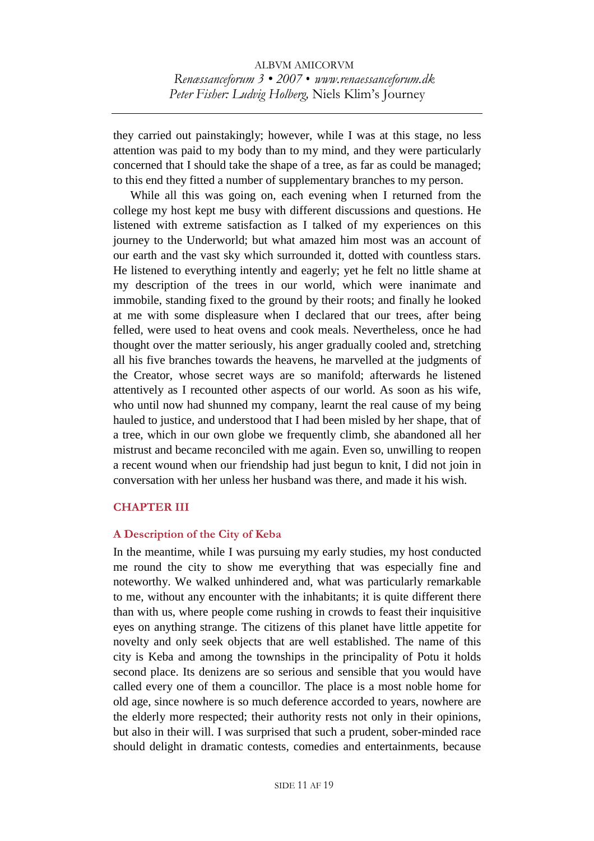they carried out painstakingly; however, while I was at this stage, no less attention was paid to my body than to my mind, and they were particularly concerned that I should take the shape of a tree, as far as could be managed; to this end they fitted a number of supplementary branches to my person.

 While all this was going on, each evening when I returned from the college my host kept me busy with different discussions and questions. He listened with extreme satisfaction as I talked of my experiences on this journey to the Underworld; but what amazed him most was an account of our earth and the vast sky which surrounded it, dotted with countless stars. He listened to everything intently and eagerly; yet he felt no little shame at my description of the trees in our world, which were inanimate and immobile, standing fixed to the ground by their roots; and finally he looked at me with some displeasure when I declared that our trees, after being felled, were used to heat ovens and cook meals. Nevertheless, once he had thought over the matter seriously, his anger gradually cooled and, stretching all his five branches towards the heavens, he marvelled at the judgments of the Creator, whose secret ways are so manifold; afterwards he listened attentively as I recounted other aspects of our world. As soon as his wife, who until now had shunned my company, learnt the real cause of my being hauled to justice, and understood that I had been misled by her shape, that of a tree, which in our own globe we frequently climb, she abandoned all her mistrust and became reconciled with me again. Even so, unwilling to reopen a recent wound when our friendship had just begun to knit, I did not join in conversation with her unless her husband was there, and made it his wish.

#### **CHAPTER III**

#### **A Description of the City of Keba**

In the meantime, while I was pursuing my early studies, my host conducted me round the city to show me everything that was especially fine and noteworthy. We walked unhindered and, what was particularly remarkable to me, without any encounter with the inhabitants; it is quite different there than with us, where people come rushing in crowds to feast their inquisitive eyes on anything strange. The citizens of this planet have little appetite for novelty and only seek objects that are well established. The name of this city is Keba and among the townships in the principality of Potu it holds second place. Its denizens are so serious and sensible that you would have called every one of them a councillor. The place is a most noble home for old age, since nowhere is so much deference accorded to years, nowhere are the elderly more respected; their authority rests not only in their opinions, but also in their will. I was surprised that such a prudent, sober-minded race should delight in dramatic contests, comedies and entertainments, because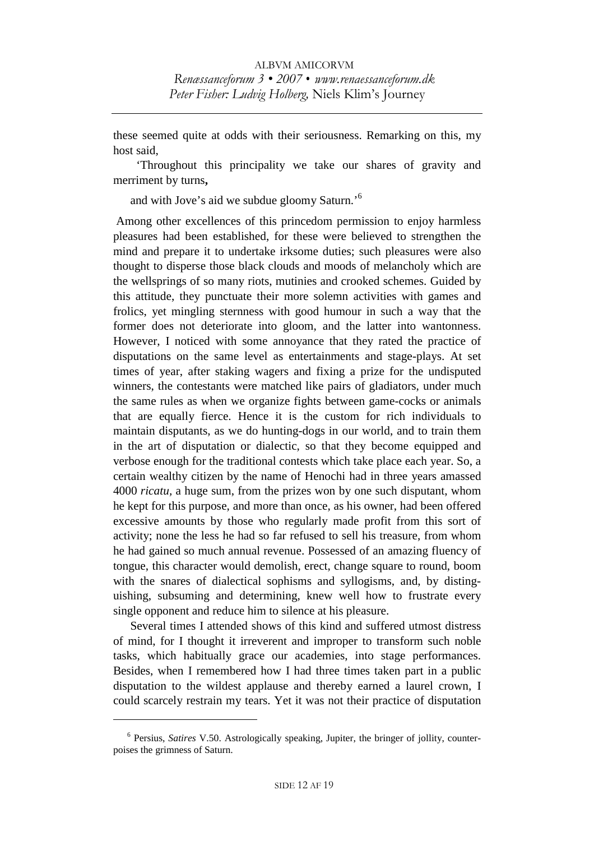these seemed quite at odds with their seriousness. Remarking on this, my host said,

 'Throughout this principality we take our shares of gravity and merriment by turns**,** 

and with Jove's aid we subdue gloomy Saturn.'<sup>6</sup>

 Among other excellences of this princedom permission to enjoy harmless pleasures had been established, for these were believed to strengthen the mind and prepare it to undertake irksome duties; such pleasures were also thought to disperse those black clouds and moods of melancholy which are the wellsprings of so many riots, mutinies and crooked schemes. Guided by this attitude, they punctuate their more solemn activities with games and frolics, yet mingling sternness with good humour in such a way that the former does not deteriorate into gloom, and the latter into wantonness. However, I noticed with some annoyance that they rated the practice of disputations on the same level as entertainments and stage-plays. At set times of year, after staking wagers and fixing a prize for the undisputed winners, the contestants were matched like pairs of gladiators, under much the same rules as when we organize fights between game-cocks or animals that are equally fierce. Hence it is the custom for rich individuals to maintain disputants, as we do hunting-dogs in our world, and to train them in the art of disputation or dialectic, so that they become equipped and verbose enough for the traditional contests which take place each year. So, a certain wealthy citizen by the name of Henochi had in three years amassed 4000 *ricatu,* a huge sum, from the prizes won by one such disputant, whom he kept for this purpose, and more than once, as his owner, had been offered excessive amounts by those who regularly made profit from this sort of activity; none the less he had so far refused to sell his treasure, from whom he had gained so much annual revenue. Possessed of an amazing fluency of tongue, this character would demolish, erect, change square to round, boom with the snares of dialectical sophisms and syllogisms, and, by distinguishing, subsuming and determining, knew well how to frustrate every single opponent and reduce him to silence at his pleasure.

 Several times I attended shows of this kind and suffered utmost distress of mind, for I thought it irreverent and improper to transform such noble tasks, which habitually grace our academies, into stage performances. Besides, when I remembered how I had three times taken part in a public disputation to the wildest applause and thereby earned a laurel crown, I could scarcely restrain my tears. Yet it was not their practice of disputation

<sup>6</sup> Persius, *Satires* V.50. Astrologically speaking, Jupiter, the bringer of jollity, counterpoises the grimness of Saturn.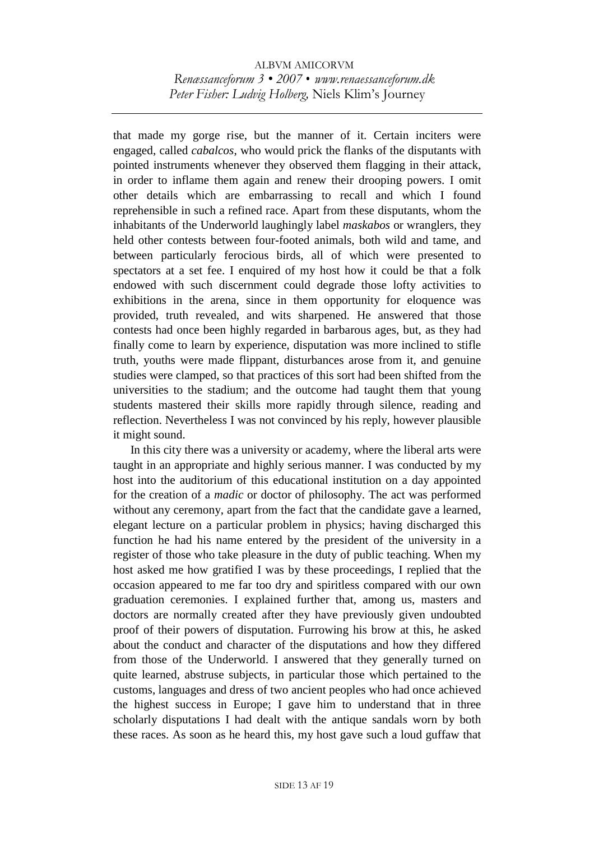that made my gorge rise, but the manner of it. Certain inciters were engaged, called *cabalcos*, who would prick the flanks of the disputants with pointed instruments whenever they observed them flagging in their attack, in order to inflame them again and renew their drooping powers. I omit other details which are embarrassing to recall and which I found reprehensible in such a refined race. Apart from these disputants, whom the inhabitants of the Underworld laughingly label *maskabos* or wranglers, they held other contests between four-footed animals, both wild and tame, and between particularly ferocious birds, all of which were presented to spectators at a set fee. I enquired of my host how it could be that a folk endowed with such discernment could degrade those lofty activities to exhibitions in the arena, since in them opportunity for eloquence was provided, truth revealed, and wits sharpened. He answered that those contests had once been highly regarded in barbarous ages, but, as they had finally come to learn by experience, disputation was more inclined to stifle truth, youths were made flippant, disturbances arose from it, and genuine studies were clamped, so that practices of this sort had been shifted from the universities to the stadium; and the outcome had taught them that young students mastered their skills more rapidly through silence, reading and reflection. Nevertheless I was not convinced by his reply, however plausible it might sound.

 In this city there was a university or academy, where the liberal arts were taught in an appropriate and highly serious manner. I was conducted by my host into the auditorium of this educational institution on a day appointed for the creation of a *madic* or doctor of philosophy. The act was performed without any ceremony, apart from the fact that the candidate gave a learned, elegant lecture on a particular problem in physics; having discharged this function he had his name entered by the president of the university in a register of those who take pleasure in the duty of public teaching. When my host asked me how gratified I was by these proceedings, I replied that the occasion appeared to me far too dry and spiritless compared with our own graduation ceremonies. I explained further that, among us, masters and doctors are normally created after they have previously given undoubted proof of their powers of disputation. Furrowing his brow at this, he asked about the conduct and character of the disputations and how they differed from those of the Underworld. I answered that they generally turned on quite learned, abstruse subjects, in particular those which pertained to the customs, languages and dress of two ancient peoples who had once achieved the highest success in Europe; I gave him to understand that in three scholarly disputations I had dealt with the antique sandals worn by both these races. As soon as he heard this, my host gave such a loud guffaw that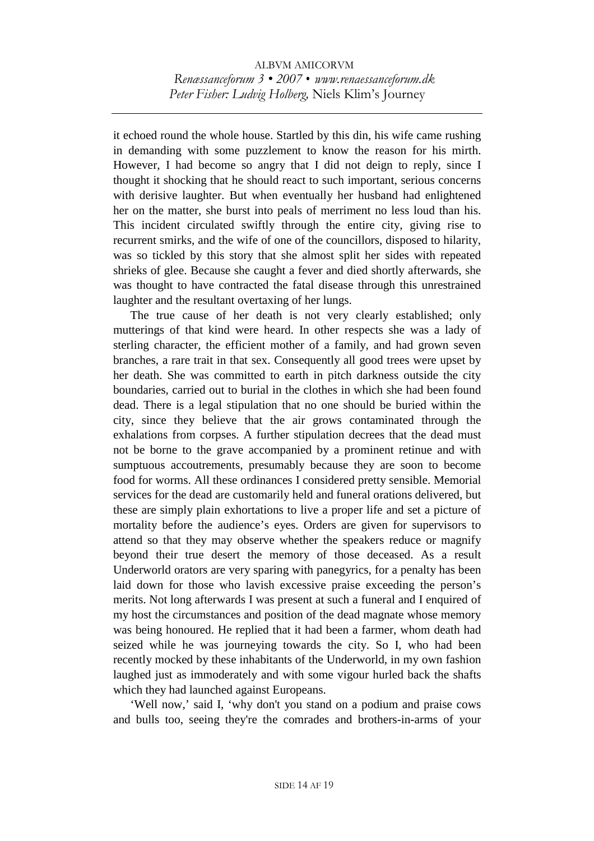it echoed round the whole house. Startled by this din, his wife came rushing in demanding with some puzzlement to know the reason for his mirth. However, I had become so angry that I did not deign to reply, since I thought it shocking that he should react to such important, serious concerns with derisive laughter. But when eventually her husband had enlightened her on the matter, she burst into peals of merriment no less loud than his. This incident circulated swiftly through the entire city, giving rise to recurrent smirks, and the wife of one of the councillors, disposed to hilarity, was so tickled by this story that she almost split her sides with repeated shrieks of glee. Because she caught a fever and died shortly afterwards, she was thought to have contracted the fatal disease through this unrestrained laughter and the resultant overtaxing of her lungs.

 The true cause of her death is not very clearly established; only mutterings of that kind were heard. In other respects she was a lady of sterling character, the efficient mother of a family, and had grown seven branches, a rare trait in that sex. Consequently all good trees were upset by her death. She was committed to earth in pitch darkness outside the city boundaries, carried out to burial in the clothes in which she had been found dead. There is a legal stipulation that no one should be buried within the city, since they believe that the air grows contaminated through the exhalations from corpses. A further stipulation decrees that the dead must not be borne to the grave accompanied by a prominent retinue and with sumptuous accoutrements, presumably because they are soon to become food for worms. All these ordinances I considered pretty sensible. Memorial services for the dead are customarily held and funeral orations delivered, but these are simply plain exhortations to live a proper life and set a picture of mortality before the audience's eyes. Orders are given for supervisors to attend so that they may observe whether the speakers reduce or magnify beyond their true desert the memory of those deceased. As a result Underworld orators are very sparing with panegyrics, for a penalty has been laid down for those who lavish excessive praise exceeding the person's merits. Not long afterwards I was present at such a funeral and I enquired of my host the circumstances and position of the dead magnate whose memory was being honoured. He replied that it had been a farmer, whom death had seized while he was journeying towards the city. So I, who had been recently mocked by these inhabitants of the Underworld, in my own fashion laughed just as immoderately and with some vigour hurled back the shafts which they had launched against Europeans.

 'Well now,' said I, 'why don't you stand on a podium and praise cows and bulls too, seeing they're the comrades and brothers-in-arms of your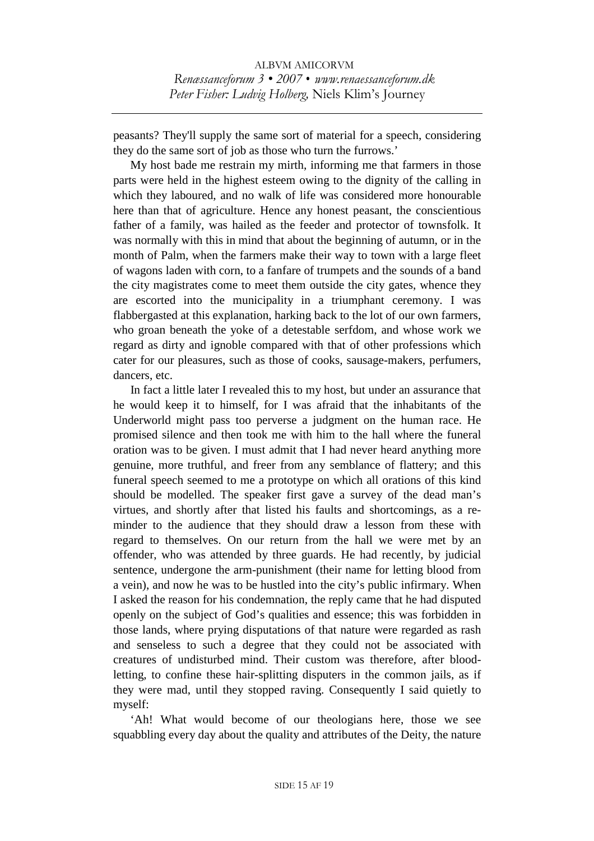peasants? They'll supply the same sort of material for a speech, considering they do the same sort of job as those who turn the furrows.'

 My host bade me restrain my mirth, informing me that farmers in those parts were held in the highest esteem owing to the dignity of the calling in which they laboured, and no walk of life was considered more honourable here than that of agriculture. Hence any honest peasant, the conscientious father of a family, was hailed as the feeder and protector of townsfolk. It was normally with this in mind that about the beginning of autumn, or in the month of Palm, when the farmers make their way to town with a large fleet of wagons laden with corn, to a fanfare of trumpets and the sounds of a band the city magistrates come to meet them outside the city gates, whence they are escorted into the municipality in a triumphant ceremony. I was flabbergasted at this explanation, harking back to the lot of our own farmers, who groan beneath the yoke of a detestable serfdom, and whose work we regard as dirty and ignoble compared with that of other professions which cater for our pleasures, such as those of cooks, sausage-makers, perfumers, dancers, etc.

 In fact a little later I revealed this to my host, but under an assurance that he would keep it to himself, for I was afraid that the inhabitants of the Underworld might pass too perverse a judgment on the human race. He promised silence and then took me with him to the hall where the funeral oration was to be given. I must admit that I had never heard anything more genuine, more truthful, and freer from any semblance of flattery; and this funeral speech seemed to me a prototype on which all orations of this kind should be modelled. The speaker first gave a survey of the dead man's virtues, and shortly after that listed his faults and shortcomings, as a reminder to the audience that they should draw a lesson from these with regard to themselves. On our return from the hall we were met by an offender, who was attended by three guards. He had recently, by judicial sentence, undergone the arm-punishment (their name for letting blood from a vein), and now he was to be hustled into the city's public infirmary. When I asked the reason for his condemnation, the reply came that he had disputed openly on the subject of God's qualities and essence; this was forbidden in those lands, where prying disputations of that nature were regarded as rash and senseless to such a degree that they could not be associated with creatures of undisturbed mind. Their custom was therefore, after bloodletting, to confine these hair-splitting disputers in the common jails, as if they were mad, until they stopped raving. Consequently I said quietly to myself:

 'Ah! What would become of our theologians here, those we see squabbling every day about the quality and attributes of the Deity, the nature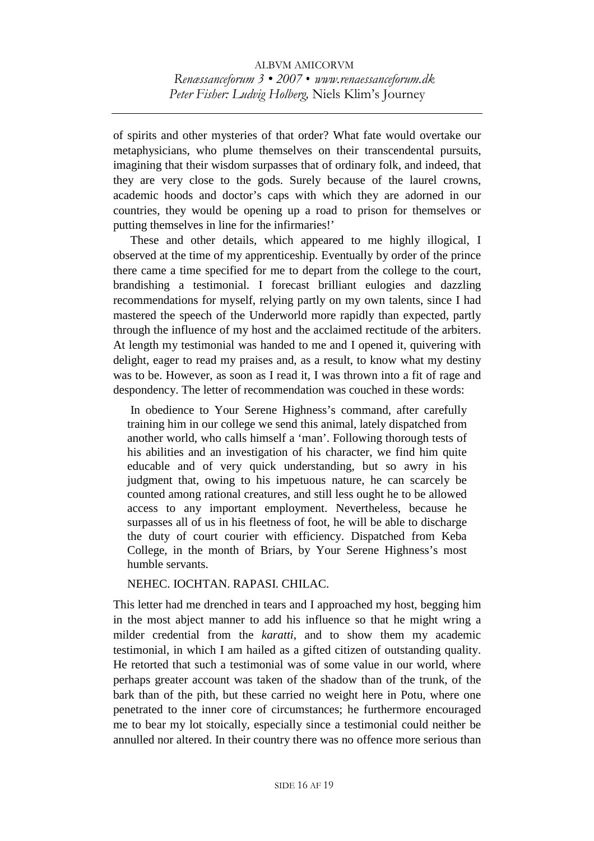of spirits and other mysteries of that order? What fate would overtake our metaphysicians, who plume themselves on their transcendental pursuits, imagining that their wisdom surpasses that of ordinary folk, and indeed, that they are very close to the gods. Surely because of the laurel crowns, academic hoods and doctor's caps with which they are adorned in our countries, they would be opening up a road to prison for themselves or putting themselves in line for the infirmaries!'

 These and other details, which appeared to me highly illogical, I observed at the time of my apprenticeship. Eventually by order of the prince there came a time specified for me to depart from the college to the court, brandishing a testimonial. I forecast brilliant eulogies and dazzling recommendations for myself, relying partly on my own talents, since I had mastered the speech of the Underworld more rapidly than expected, partly through the influence of my host and the acclaimed rectitude of the arbiters. At length my testimonial was handed to me and I opened it, quivering with delight, eager to read my praises and, as a result, to know what my destiny was to be. However, as soon as I read it, I was thrown into a fit of rage and despondency. The letter of recommendation was couched in these words:

 In obedience to Your Serene Highness's command, after carefully training him in our college we send this animal, lately dispatched from another world, who calls himself a 'man'. Following thorough tests of his abilities and an investigation of his character, we find him quite educable and of very quick understanding, but so awry in his judgment that, owing to his impetuous nature, he can scarcely be counted among rational creatures, and still less ought he to be allowed access to any important employment. Nevertheless, because he surpasses all of us in his fleetness of foot, he will be able to discharge the duty of court courier with efficiency. Dispatched from Keba College, in the month of Briars, by Your Serene Highness's most humble servants.

NEHEC. IOCHTAN. RAPASI. CHILAC.

This letter had me drenched in tears and I approached my host, begging him in the most abject manner to add his influence so that he might wring a milder credential from the *karatti*, and to show them my academic testimonial, in which I am hailed as a gifted citizen of outstanding quality. He retorted that such a testimonial was of some value in our world, where perhaps greater account was taken of the shadow than of the trunk, of the bark than of the pith, but these carried no weight here in Potu, where one penetrated to the inner core of circumstances; he furthermore encouraged me to bear my lot stoically, especially since a testimonial could neither be annulled nor altered. In their country there was no offence more serious than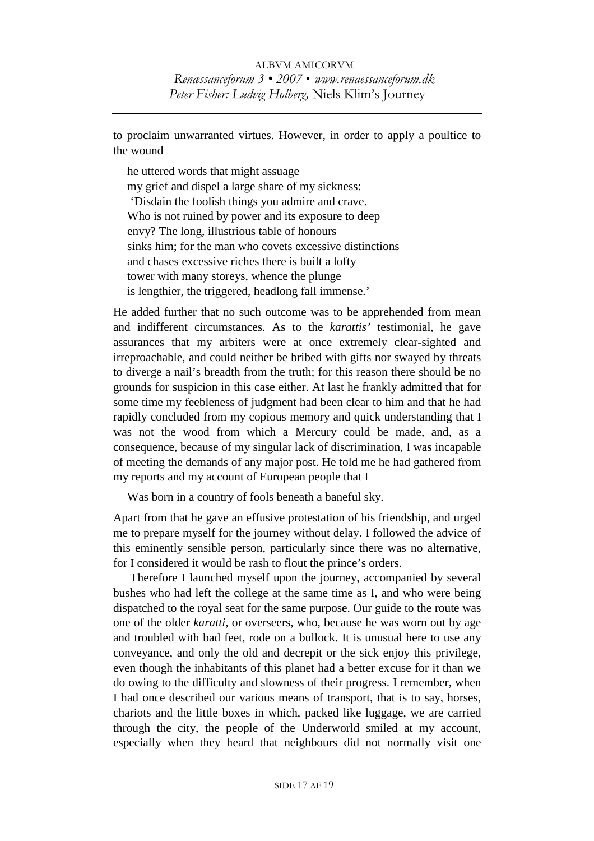to proclaim unwarranted virtues. However, in order to apply a poultice to the wound

he uttered words that might assuage my grief and dispel a large share of my sickness: 'Disdain the foolish things you admire and crave. Who is not ruined by power and its exposure to deep envy? The long, illustrious table of honours sinks him; for the man who covets excessive distinctions and chases excessive riches there is built a lofty tower with many storeys, whence the plunge is lengthier, the triggered, headlong fall immense.'

He added further that no such outcome was to be apprehended from mean and indifferent circumstances. As to the *karattis'* testimonial, he gave assurances that my arbiters were at once extremely clear-sighted and irreproachable, and could neither be bribed with gifts nor swayed by threats to diverge a nail's breadth from the truth; for this reason there should be no grounds for suspicion in this case either. At last he frankly admitted that for some time my feebleness of judgment had been clear to him and that he had rapidly concluded from my copious memory and quick understanding that I was not the wood from which a Mercury could be made, and, as a consequence, because of my singular lack of discrimination, I was incapable of meeting the demands of any major post. He told me he had gathered from my reports and my account of European people that I

Was born in a country of fools beneath a baneful sky.

Apart from that he gave an effusive protestation of his friendship, and urged me to prepare myself for the journey without delay. I followed the advice of this eminently sensible person, particularly since there was no alternative, for I considered it would be rash to flout the prince's orders.

 Therefore I launched myself upon the journey, accompanied by several bushes who had left the college at the same time as I, and who were being dispatched to the royal seat for the same purpose. Our guide to the route was one of the older *karatti*, or overseers, who, because he was worn out by age and troubled with bad feet, rode on a bullock. It is unusual here to use any conveyance, and only the old and decrepit or the sick enjoy this privilege, even though the inhabitants of this planet had a better excuse for it than we do owing to the difficulty and slowness of their progress. I remember, when I had once described our various means of transport, that is to say, horses, chariots and the little boxes in which, packed like luggage, we are carried through the city, the people of the Underworld smiled at my account, especially when they heard that neighbours did not normally visit one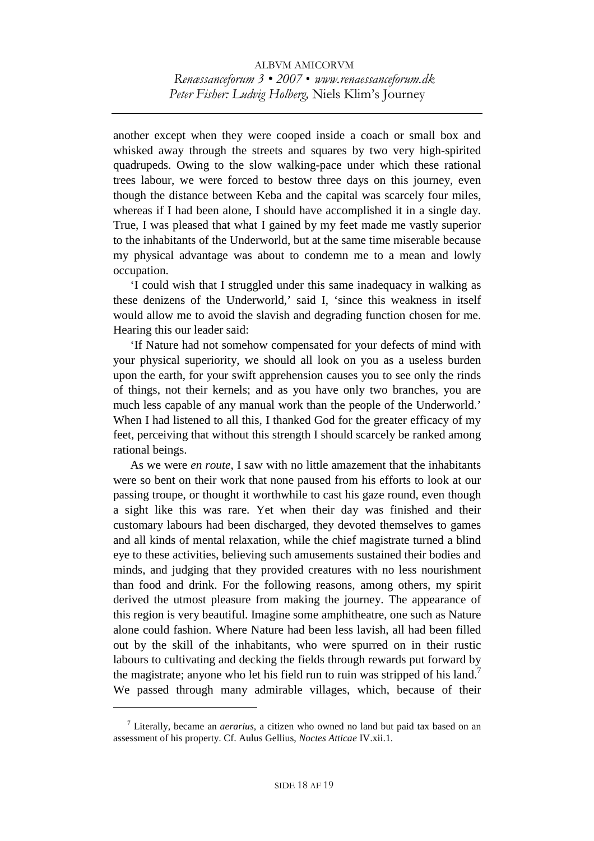another except when they were cooped inside a coach or small box and whisked away through the streets and squares by two very high-spirited quadrupeds. Owing to the slow walking-pace under which these rational trees labour, we were forced to bestow three days on this journey, even though the distance between Keba and the capital was scarcely four miles, whereas if I had been alone, I should have accomplished it in a single day. True, I was pleased that what I gained by my feet made me vastly superior to the inhabitants of the Underworld, but at the same time miserable because my physical advantage was about to condemn me to a mean and lowly occupation.

 'I could wish that I struggled under this same inadequacy in walking as these denizens of the Underworld,' said I, 'since this weakness in itself would allow me to avoid the slavish and degrading function chosen for me. Hearing this our leader said:

 'If Nature had not somehow compensated for your defects of mind with your physical superiority, we should all look on you as a useless burden upon the earth, for your swift apprehension causes you to see only the rinds of things, not their kernels; and as you have only two branches, you are much less capable of any manual work than the people of the Underworld.' When I had listened to all this, I thanked God for the greater efficacy of my feet, perceiving that without this strength I should scarcely be ranked among rational beings.

 As we were *en route*, I saw with no little amazement that the inhabitants were so bent on their work that none paused from his efforts to look at our passing troupe, or thought it worthwhile to cast his gaze round, even though a sight like this was rare. Yet when their day was finished and their customary labours had been discharged, they devoted themselves to games and all kinds of mental relaxation, while the chief magistrate turned a blind eye to these activities, believing such amusements sustained their bodies and minds, and judging that they provided creatures with no less nourishment than food and drink. For the following reasons, among others, my spirit derived the utmost pleasure from making the journey. The appearance of this region is very beautiful. Imagine some amphitheatre, one such as Nature alone could fashion. Where Nature had been less lavish, all had been filled out by the skill of the inhabitants, who were spurred on in their rustic labours to cultivating and decking the fields through rewards put forward by the magistrate; anyone who let his field run to ruin was stripped of his land.<sup>7</sup> We passed through many admirable villages, which, because of their

<sup>7</sup> Literally, became an *aerarius*, a citizen who owned no land but paid tax based on an assessment of his property. Cf. Aulus Gellius, *Noctes Atticae* IV.xii.1.